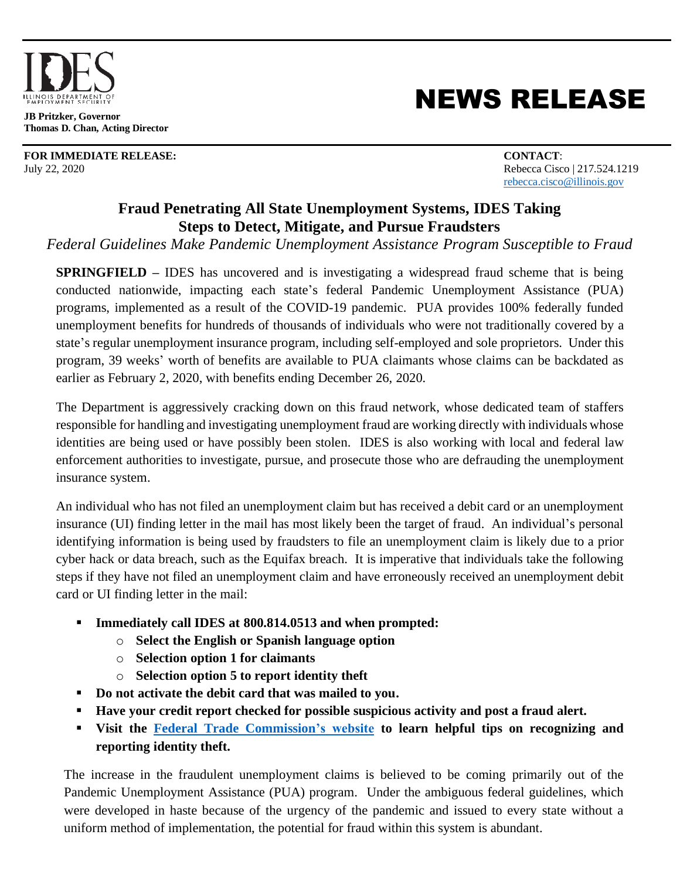

**JB Pritzker, Governor Thomas D. Chan, Acting Director**

**FOR IMMEDIATE RELEASE: CONTACT**: July 22, 2020 Rebecca Cisco | 217.524.1219

## NEWS RELEASE

[rebecca.cisco@illinois.gov](mailto:rebecca.cisco@illinois.gov)

## **Fraud Penetrating All State Unemployment Systems, IDES Taking Steps to Detect, Mitigate, and Pursue Fraudsters**

*Federal Guidelines Make Pandemic Unemployment Assistance Program Susceptible to Fraud*

**SPRINGFIELD –** IDES has uncovered and is investigating a widespread fraud scheme that is being conducted nationwide, impacting each state's federal Pandemic Unemployment Assistance (PUA) programs, implemented as a result of the COVID-19 pandemic. PUA provides 100% federally funded unemployment benefits for hundreds of thousands of individuals who were not traditionally covered by a state's regular unemployment insurance program, including self-employed and sole proprietors. Under this program, 39 weeks' worth of benefits are available to PUA claimants whose claims can be backdated as earlier as February 2, 2020, with benefits ending December 26, 2020.

The Department is aggressively cracking down on this fraud network, whose dedicated team of staffers responsible for handling and investigating unemployment fraud are working directly with individuals whose identities are being used or have possibly been stolen. IDES is also working with local and federal law enforcement authorities to investigate, pursue, and prosecute those who are defrauding the unemployment insurance system.

An individual who has not filed an unemployment claim but has received a debit card or an unemployment insurance (UI) finding letter in the mail has most likely been the target of fraud. An individual's personal identifying information is being used by fraudsters to file an unemployment claim is likely due to a prior cyber hack or data breach, such as the Equifax breach. It is imperative that individuals take the following steps if they have not filed an unemployment claim and have erroneously received an unemployment debit card or UI finding letter in the mail:

- **Immediately call IDES at 800.814.0513 and when prompted:**
	- o **Select the English or Spanish language option**
	- o **Selection option 1 for claimants**
	- o **Selection option 5 to report identity theft**
- **Do not activate the debit card that was mailed to you.**
- **Have your credit report checked for possible suspicious activity and post a fraud alert.**
- **Visit the [Federal Trade Commission's website](https://www.ftc.gov/) to learn helpful tips on recognizing and reporting identity theft.**

The increase in the fraudulent unemployment claims is believed to be coming primarily out of the Pandemic Unemployment Assistance (PUA) program. Under the ambiguous federal guidelines, which were developed in haste because of the urgency of the pandemic and issued to every state without a uniform method of implementation, the potential for fraud within this system is abundant.